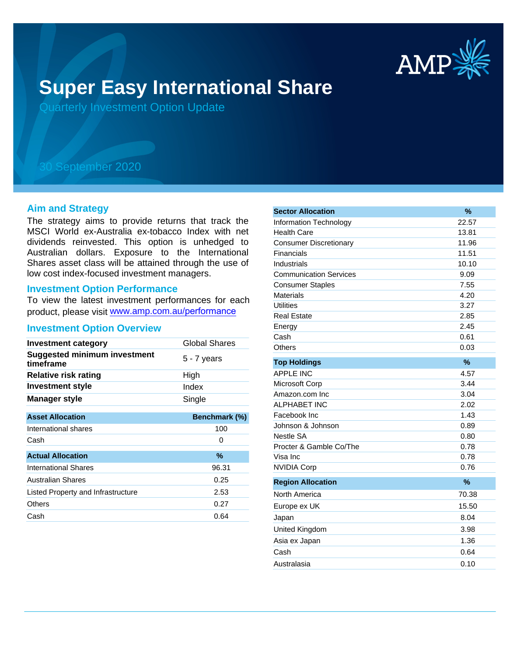

# **Super Easy International Share**

Quarterly Investment Option Update

## 30 September 2020

#### **Aim and Strategy**

The strategy aims to provide returns that track the MSCI World ex-Australia ex-tobacco Index with net dividends reinvested. This option is unhedged to Australian dollars. Exposure to the International Shares asset class will be attained through the use of low cost index-focused investment managers.

#### **Investment Option Performance**

To view the latest investment performances for each product, please visit www.amp.com.au/performance

#### **Investment Option Overview**

| <b>Investment category</b>                       | Global Shares |
|--------------------------------------------------|---------------|
| <b>Suggested minimum investment</b><br>timeframe | $5 - 7$ years |
| <b>Relative risk rating</b>                      | High          |
| <b>Investment style</b>                          | Index         |
| <b>Manager style</b>                             | Single        |
|                                                  |               |
| <b>Asset Allocation</b>                          | Benchmark (%) |
| International shares                             | 100           |
| Cash                                             | 0             |
| <b>Actual Allocation</b>                         | $\%$          |
| International Shares                             | 96.31         |
| <b>Australian Shares</b>                         | 0.25          |
| Listed Property and Infrastructure               | 2.53          |
| Others                                           | 0.27          |
| Cash                                             | 0.64          |

| <b>Sector Allocation</b>      | $\frac{9}{6}$ |
|-------------------------------|---------------|
| <b>Information Technology</b> | 22.57         |
| <b>Health Care</b>            | 13.81         |
| <b>Consumer Discretionary</b> | 11.96         |
| Financials                    | 11.51         |
| Industrials                   | 10.10         |
| <b>Communication Services</b> | 9.09          |
| <b>Consumer Staples</b>       | 7.55          |
| <b>Materials</b>              | 4.20          |
| <b>Utilities</b>              | 3.27          |
| <b>Real Estate</b>            | 2.85          |
| Energy                        | 2.45          |
| Cash                          | 0.61          |
| Others                        | 0.03          |
| <b>Top Holdings</b>           | %             |
| <b>APPLE INC</b>              | 4.57          |
| Microsoft Corp                | 3.44          |
| Amazon.com Inc                | 3.04          |
| <b>ALPHABET INC</b>           | 2.02          |
| Facebook Inc                  | 1.43          |
| Johnson & Johnson             | 0.89          |
| <b>Nestle SA</b>              | 0.80          |
| Procter & Gamble Co/The       | 0.78          |
| Visa Inc                      | 0.78          |
| <b>NVIDIA Corp</b>            | 0.76          |
| <b>Region Allocation</b>      | $\frac{9}{6}$ |
| North America                 | 70.38         |
| Europe ex UK                  | 15.50         |
| Japan                         | 8.04          |
| United Kingdom                | 3.98          |
| Asia ex Japan                 | 1.36          |
| Cash                          | 0.64          |
| Australasia                   | 0.10          |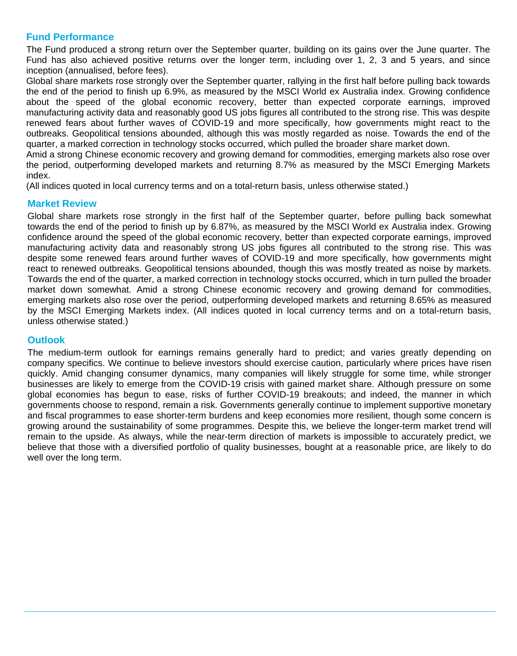## **Fund Performance**

The Fund produced a strong return over the September quarter, building on its gains over the June quarter. The Fund has also achieved positive returns over the longer term, including over 1, 2, 3 and 5 years, and since inception (annualised, before fees).

Global share markets rose strongly over the September quarter, rallying in the first half before pulling back towards the end of the period to finish up 6.9%, as measured by the MSCI World ex Australia index. Growing confidence about the speed of the global economic recovery, better than expected corporate earnings, improved manufacturing activity data and reasonably good US jobs figures all contributed to the strong rise. This was despite renewed fears about further waves of COVID-19 and more specifically, how governments might react to the outbreaks. Geopolitical tensions abounded, although this was mostly regarded as noise. Towards the end of the quarter, a marked correction in technology stocks occurred, which pulled the broader share market down.

Amid a strong Chinese economic recovery and growing demand for commodities, emerging markets also rose over the period, outperforming developed markets and returning 8.7% as measured by the MSCI Emerging Markets index.

(All indices quoted in local currency terms and on a total-return basis, unless otherwise stated.)

#### **Market Review**

Global share markets rose strongly in the first half of the September quarter, before pulling back somewhat towards the end of the period to finish up by 6.87%, as measured by the MSCI World ex Australia index. Growing confidence around the speed of the global economic recovery, better than expected corporate earnings, improved manufacturing activity data and reasonably strong US jobs figures all contributed to the strong rise. This was despite some renewed fears around further waves of COVID-19 and more specifically, how governments might react to renewed outbreaks. Geopolitical tensions abounded, though this was mostly treated as noise by markets. Towards the end of the quarter, a marked correction in technology stocks occurred, which in turn pulled the broader market down somewhat. Amid a strong Chinese economic recovery and growing demand for commodities, emerging markets also rose over the period, outperforming developed markets and returning 8.65% as measured by the MSCI Emerging Markets index. (All indices quoted in local currency terms and on a total-return basis, unless otherwise stated.)

## **Outlook**

The medium-term outlook for earnings remains generally hard to predict; and varies greatly depending on company specifics. We continue to believe investors should exercise caution, particularly where prices have risen quickly. Amid changing consumer dynamics, many companies will likely struggle for some time, while stronger businesses are likely to emerge from the COVID-19 crisis with gained market share. Although pressure on some global economies has begun to ease, risks of further COVID-19 breakouts; and indeed, the manner in which governments choose to respond, remain a risk. Governments generally continue to implement supportive monetary and fiscal programmes to ease shorter-term burdens and keep economies more resilient, though some concern is growing around the sustainability of some programmes. Despite this, we believe the longer-term market trend will remain to the upside. As always, while the near-term direction of markets is impossible to accurately predict, we believe that those with a diversified portfolio of quality businesses, bought at a reasonable price, are likely to do well over the long term.